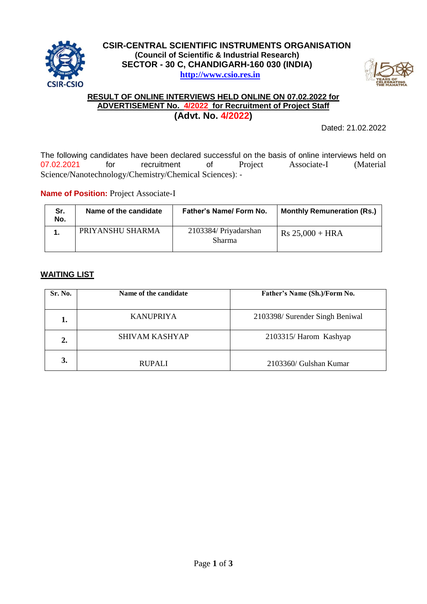



#### **RESULT OF ONLINE INTERVIEWS HELD ONLINE ON 07.02.2022 for ADVERTISEMENT No. 4/2022 for Recruitment of Project Staff (Advt. No. 4/2022)**

Dated: 21.02.2022

The following candidates have been declared successful on the basis of online interviews held on 07.02.2021 for recruitment of Project Associate-I (Material Science/Nanotechnology/Chemistry/Chemical Sciences): -

**Name of Position: Project Associate-I** 

| Sr.<br>No. | Name of the candidate | <b>Father's Name/ Form No.</b>         | <b>Monthly Remuneration (Rs.)</b> |
|------------|-----------------------|----------------------------------------|-----------------------------------|
| 1.         | PRIYANSHU SHARMA      | 2103384/ Priyadarshan<br><b>Sharma</b> | $Rs 25,000 + HRA$                 |

# **WAITING LIST**

| Sr. No. | Name of the candidate | Father's Name (Sh.)/Form No.    |
|---------|-----------------------|---------------------------------|
| 1.      | <b>KANUPRIYA</b>      | 2103398/ Surender Singh Beniwal |
| 2.      | <b>SHIVAM KASHYAP</b> | 2103315/ Harom Kashyap          |
| 3.      | <b>RUPALI</b>         | 2103360/ Gulshan Kumar          |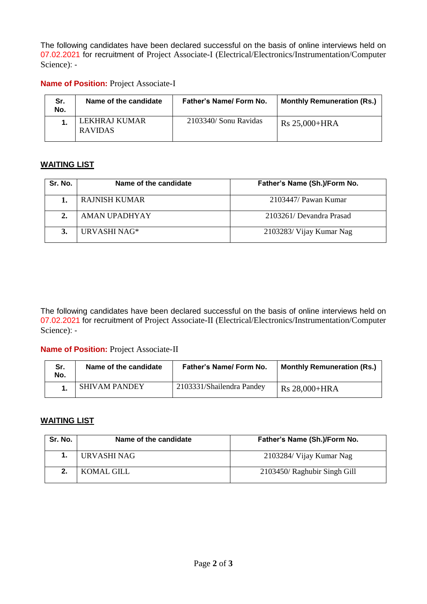The following candidates have been declared successful on the basis of online interviews held on 07.02.2021 for recruitment of Project Associate-I (Electrical/Electronics/Instrumentation/Computer Science): -

#### **Name of Position: Project Associate-I**

| Sr.<br>No. | Name of the candidate           | <b>Father's Name/ Form No.</b> | <b>Monthly Remuneration (Rs.)</b> |
|------------|---------------------------------|--------------------------------|-----------------------------------|
|            | LEKHRAJ KUMAR<br><b>RAVIDAS</b> | 2103340/ Sonu Ravidas          | Rs 25,000+HRA                     |

# **WAITING LIST**

| Sr. No. | Name of the candidate | Father's Name (Sh.)/Form No. |
|---------|-----------------------|------------------------------|
|         | <b>RAJNISH KUMAR</b>  | $2103447$ / Pawan Kumar      |
|         | AMAN UPADHYAY         | 2103261/Devandra Prasad      |
|         | URVASHI NAG*          | 2103283/ Vijay Kumar Nag     |

The following candidates have been declared successful on the basis of online interviews held on 07.02.2021 for recruitment of Project Associate-II (Electrical/Electronics/Instrumentation/Computer Science): -

# **Name of Position: Project Associate-II**

| Sr.<br>No. | Name of the candidate | <b>Father's Name/ Form No.</b> | <b>Monthly Remuneration (Rs.)</b> |
|------------|-----------------------|--------------------------------|-----------------------------------|
|            | <b>SHIVAM PANDEY</b>  | 2103331/Shailendra Pandey      | Rs 28,000+HRA                     |

#### **WAITING LIST**

| Sr. No. | Name of the candidate | Father's Name (Sh.)/Form No. |
|---------|-----------------------|------------------------------|
|         | URVASHI NAG           | 2103284/ Vijay Kumar Nag     |
|         | KOMAL GILL            | 2103450/ Raghubir Singh Gill |